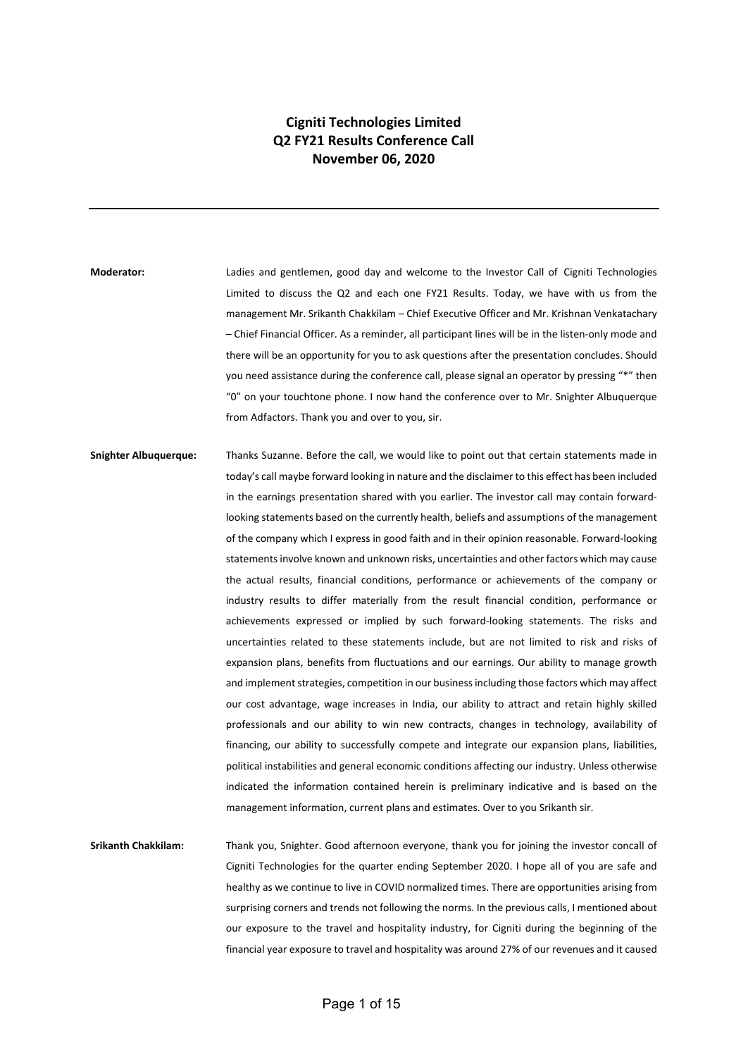## **Cigniti Technologies Limited Q2 FY21 Results Conference Call November 06, 2020**

**Moderator:** Ladies and gentlemen, good day and welcome to the Investor Call of Cigniti Technologies Limited to discuss the Q2 and each one FY21 Results. Today, we have with us from the management Mr. Srikanth Chakkilam – Chief Executive Officer and Mr. Krishnan Venkatachary – Chief Financial Officer. As a reminder, all participant lines will be in the listen-only mode and there will be an opportunity for you to ask questions after the presentation concludes. Should you need assistance during the conference call, please signal an operator by pressing "\*" then "0" on your touchtone phone. I now hand the conference over to Mr. Snighter Albuquerque from Adfactors. Thank you and over to you, sir.

**Snighter Albuquerque:** Thanks Suzanne. Before the call, we would like to point out that certain statements made in today's call maybe forward looking in nature and the disclaimer to this effect has been included in the earnings presentation shared with you earlier. The investor call may contain forwardlooking statements based on the currently health, beliefs and assumptions of the management of the company which I express in good faith and in their opinion reasonable. Forward-looking statements involve known and unknown risks, uncertainties and other factors which may cause the actual results, financial conditions, performance or achievements of the company or industry results to differ materially from the result financial condition, performance or achievements expressed or implied by such forward-looking statements. The risks and uncertainties related to these statements include, but are not limited to risk and risks of expansion plans, benefits from fluctuations and our earnings. Our ability to manage growth and implement strategies, competition in our business including those factors which may affect our cost advantage, wage increases in India, our ability to attract and retain highly skilled professionals and our ability to win new contracts, changes in technology, availability of financing, our ability to successfully compete and integrate our expansion plans, liabilities, political instabilities and general economic conditions affecting our industry. Unless otherwise indicated the information contained herein is preliminary indicative and is based on the management information, current plans and estimates. Over to you Srikanth sir.

**Srikanth Chakkilam:** Thank you, Snighter. Good afternoon everyone, thank you for joining the investor concall of Cigniti Technologies for the quarter ending September 2020. I hope all of you are safe and healthy as we continue to live in COVID normalized times. There are opportunities arising from surprising corners and trends not following the norms. In the previous calls, I mentioned about our exposure to the travel and hospitality industry, for Cigniti during the beginning of the financial year exposure to travel and hospitality was around 27% of our revenues and it caused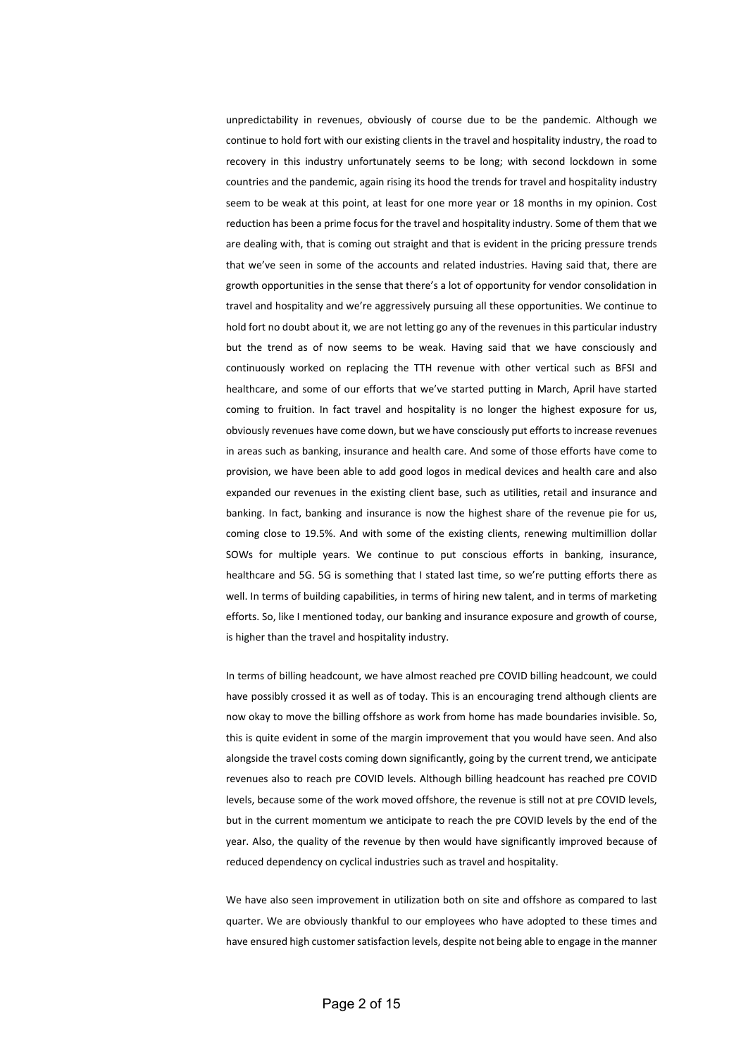unpredictability in revenues, obviously of course due to be the pandemic. Although we continue to hold fort with our existing clients in the travel and hospitality industry, the road to recovery in this industry unfortunately seems to be long; with second lockdown in some countries and the pandemic, again rising its hood the trends for travel and hospitality industry seem to be weak at this point, at least for one more year or 18 months in my opinion. Cost reduction has been a prime focus for the travel and hospitality industry. Some of them that we are dealing with, that is coming out straight and that is evident in the pricing pressure trends that we've seen in some of the accounts and related industries. Having said that, there are growth opportunities in the sense that there's a lot of opportunity for vendor consolidation in travel and hospitality and we're aggressively pursuing all these opportunities. We continue to hold fort no doubt about it, we are not letting go any of the revenues in this particular industry but the trend as of now seems to be weak. Having said that we have consciously and continuously worked on replacing the TTH revenue with other vertical such as BFSI and healthcare, and some of our efforts that we've started putting in March, April have started coming to fruition. In fact travel and hospitality is no longer the highest exposure for us, obviously revenues have come down, but we have consciously put efforts to increase revenues in areas such as banking, insurance and health care. And some of those efforts have come to provision, we have been able to add good logos in medical devices and health care and also expanded our revenues in the existing client base, such as utilities, retail and insurance and banking. In fact, banking and insurance is now the highest share of the revenue pie for us, coming close to 19.5%. And with some of the existing clients, renewing multimillion dollar SOWs for multiple years. We continue to put conscious efforts in banking, insurance, healthcare and 5G. 5G is something that I stated last time, so we're putting efforts there as well. In terms of building capabilities, in terms of hiring new talent, and in terms of marketing efforts. So, like I mentioned today, our banking and insurance exposure and growth of course, is higher than the travel and hospitality industry.

In terms of billing headcount, we have almost reached pre COVID billing headcount, we could have possibly crossed it as well as of today. This is an encouraging trend although clients are now okay to move the billing offshore as work from home has made boundaries invisible. So, this is quite evident in some of the margin improvement that you would have seen. And also alongside the travel costs coming down significantly, going by the current trend, we anticipate revenues also to reach pre COVID levels. Although billing headcount has reached pre COVID levels, because some of the work moved offshore, the revenue is still not at pre COVID levels, but in the current momentum we anticipate to reach the pre COVID levels by the end of the year. Also, the quality of the revenue by then would have significantly improved because of reduced dependency on cyclical industries such as travel and hospitality.

We have also seen improvement in utilization both on site and offshore as compared to last quarter. We are obviously thankful to our employees who have adopted to these times and have ensured high customer satisfaction levels, despite not being able to engage in the manner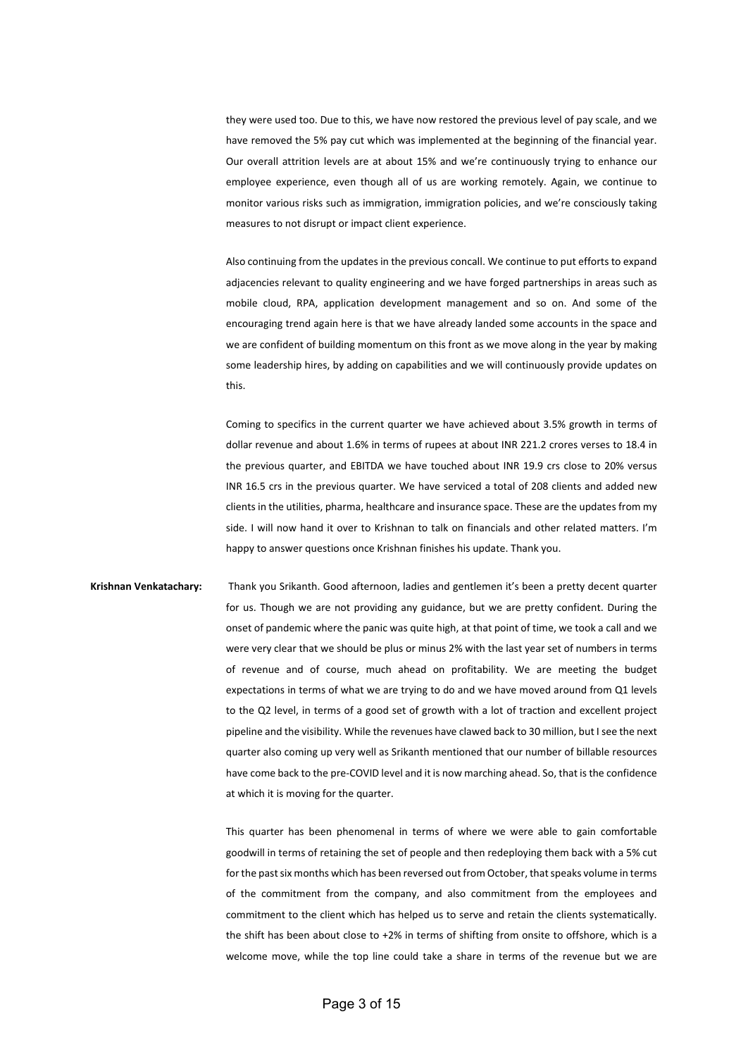they were used too. Due to this, we have now restored the previous level of pay scale, and we have removed the 5% pay cut which was implemented at the beginning of the financial year. Our overall attrition levels are at about 15% and we're continuously trying to enhance our employee experience, even though all of us are working remotely. Again, we continue to monitor various risks such as immigration, immigration policies, and we're consciously taking measures to not disrupt or impact client experience.

Also continuing from the updates in the previous concall. We continue to put efforts to expand adjacencies relevant to quality engineering and we have forged partnerships in areas such as mobile cloud, RPA, application development management and so on. And some of the encouraging trend again here is that we have already landed some accounts in the space and we are confident of building momentum on this front as we move along in the year by making some leadership hires, by adding on capabilities and we will continuously provide updates on this.

Coming to specifics in the current quarter we have achieved about 3.5% growth in terms of dollar revenue and about 1.6% in terms of rupees at about INR 221.2 crores verses to 18.4 in the previous quarter, and EBITDA we have touched about INR 19.9 crs close to 20% versus INR 16.5 crs in the previous quarter. We have serviced a total of 208 clients and added new clients in the utilities, pharma, healthcare and insurance space. These are the updates from my side. I will now hand it over to Krishnan to talk on financials and other related matters. I'm happy to answer questions once Krishnan finishes his update. Thank you.

**Krishnan Venkatachary:** Thank you Srikanth. Good afternoon, ladies and gentlemen it's been a pretty decent quarter for us. Though we are not providing any guidance, but we are pretty confident. During the onset of pandemic where the panic was quite high, at that point of time, we took a call and we were very clear that we should be plus or minus 2% with the last year set of numbers in terms of revenue and of course, much ahead on profitability. We are meeting the budget expectations in terms of what we are trying to do and we have moved around from Q1 levels to the Q2 level, in terms of a good set of growth with a lot of traction and excellent project pipeline and the visibility. While the revenues have clawed back to 30 million, but I see the next quarter also coming up very well as Srikanth mentioned that our number of billable resources have come back to the pre-COVID level and it is now marching ahead. So, that is the confidence at which it is moving for the quarter.

> This quarter has been phenomenal in terms of where we were able to gain comfortable goodwill in terms of retaining the set of people and then redeploying them back with a 5% cut for the past six months which has been reversed out from October, that speaks volume in terms of the commitment from the company, and also commitment from the employees and commitment to the client which has helped us to serve and retain the clients systematically. the shift has been about close to +2% in terms of shifting from onsite to offshore, which is a welcome move, while the top line could take a share in terms of the revenue but we are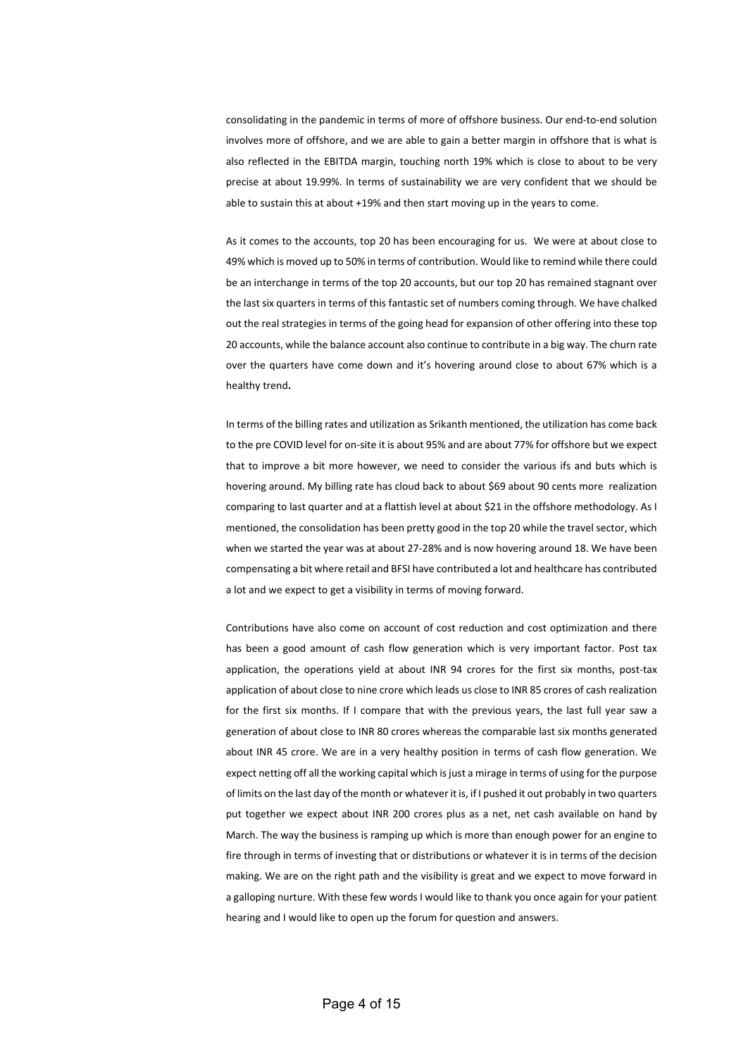consolidating in the pandemic in terms of more of offshore business. Our end-to-end solution involves more of offshore, and we are able to gain a better margin in offshore that is what is also reflected in the EBITDA margin, touching north 19% which is close to about to be very precise at about 19.99%. In terms of sustainability we are very confident that we should be able to sustain this at about +19% and then start moving up in the years to come.

As it comes to the accounts, top 20 has been encouraging for us. We were at about close to 49% which is moved up to 50% in terms of contribution. Would like to remind while there could be an interchange in terms of the top 20 accounts, but our top 20 has remained stagnant over the last six quarters in terms of this fantastic set of numbers coming through. We have chalked out the real strategies in terms of the going head for expansion of other offering into these top 20 accounts, while the balance account also continue to contribute in a big way. The churn rate over the quarters have come down and it's hovering around close to about 67% which is a healthy trend**.**

In terms of the billing rates and utilization as Srikanth mentioned, the utilization has come back to the pre COVID level for on-site it is about 95% and are about 77% for offshore but we expect that to improve a bit more however, we need to consider the various ifs and buts which is hovering around. My billing rate has cloud back to about \$69 about 90 cents more realization comparing to last quarter and at a flattish level at about \$21 in the offshore methodology. As I mentioned, the consolidation has been pretty good in the top 20 while the travel sector, which when we started the year was at about 27-28% and is now hovering around 18. We have been compensating a bit where retail and BFSI have contributed a lot and healthcare has contributed a lot and we expect to get a visibility in terms of moving forward.

Contributions have also come on account of cost reduction and cost optimization and there has been a good amount of cash flow generation which is very important factor. Post tax application, the operations yield at about INR 94 crores for the first six months, post-tax application of about close to nine crore which leads us close to INR 85 crores of cash realization for the first six months. If I compare that with the previous years, the last full year saw a generation of about close to INR 80 crores whereas the comparable last six months generated about INR 45 crore. We are in a very healthy position in terms of cash flow generation. We expect netting off all the working capital which is just a mirage in terms of using for the purpose of limits on the last day of the month or whatever it is, if I pushed it out probably in two quarters put together we expect about INR 200 crores plus as a net, net cash available on hand by March. The way the business is ramping up which is more than enough power for an engine to fire through in terms of investing that or distributions or whatever it is in terms of the decision making. We are on the right path and the visibility is great and we expect to move forward in a galloping nurture. With these few words I would like to thank you once again for your patient hearing and I would like to open up the forum for question and answers.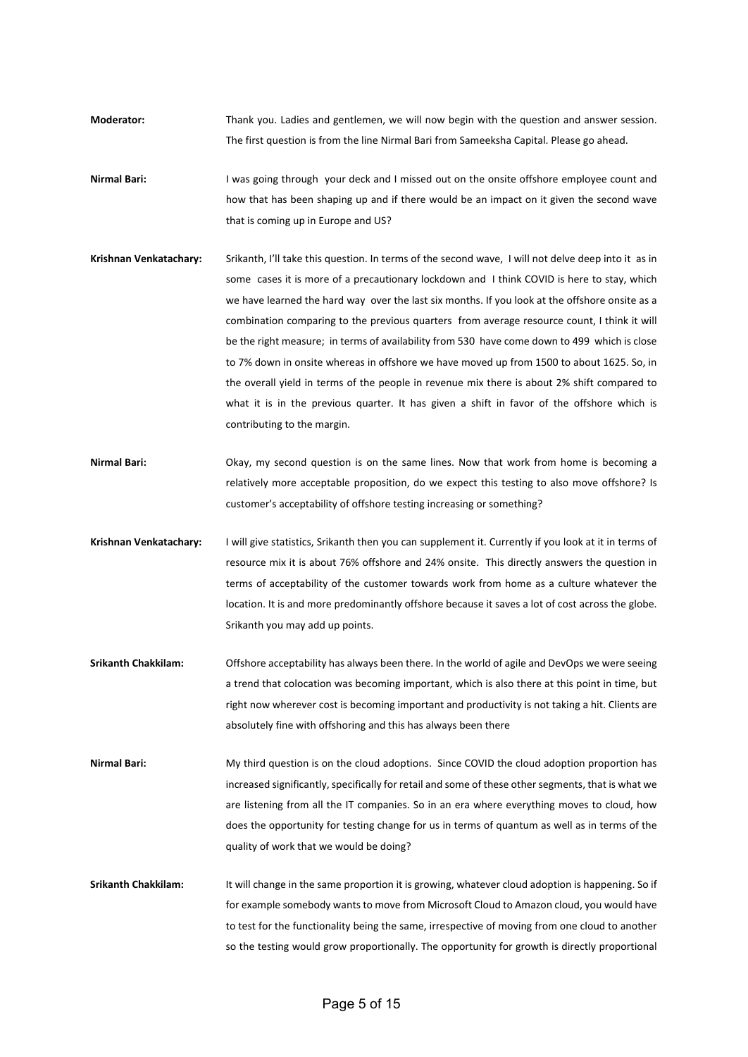- **Moderator:** Thank you. Ladies and gentlemen, we will now begin with the question and answer session. The first question is from the line Nirmal Bari from Sameeksha Capital. Please go ahead.
- **Nirmal Bari:** I was going through your deck and I missed out on the onsite offshore employee count and how that has been shaping up and if there would be an impact on it given the second wave that is coming up in Europe and US?
- **Krishnan Venkatachary:** Srikanth, I'll take this question. In terms of the second wave, I will not delve deep into it as in some cases it is more of a precautionary lockdown and I think COVID is here to stay, which we have learned the hard way over the last six months. If you look at the offshore onsite as a combination comparing to the previous quarters from average resource count, I think it will be the right measure; in terms of availability from 530 have come down to 499 which is close to 7% down in onsite whereas in offshore we have moved up from 1500 to about 1625. So, in the overall yield in terms of the people in revenue mix there is about 2% shift compared to what it is in the previous quarter. It has given a shift in favor of the offshore which is contributing to the margin.
- **Nirmal Bari:** Okay, my second question is on the same lines. Now that work from home is becoming a relatively more acceptable proposition, do we expect this testing to also move offshore? Is customer's acceptability of offshore testing increasing or something?
- **Krishnan Venkatachary:** I will give statistics, Srikanth then you can supplement it. Currently if you look at it in terms of resource mix it is about 76% offshore and 24% onsite. This directly answers the question in terms of acceptability of the customer towards work from home as a culture whatever the location. It is and more predominantly offshore because it saves a lot of cost across the globe. Srikanth you may add up points.
- **Srikanth Chakkilam:** Offshore acceptability has always been there. In the world of agile and DevOps we were seeing a trend that colocation was becoming important, which is also there at this point in time, but right now wherever cost is becoming important and productivity is not taking a hit. Clients are absolutely fine with offshoring and this has always been there
- **Nirmal Bari:** My third question is on the cloud adoptions. Since COVID the cloud adoption proportion has increased significantly, specifically for retail and some of these other segments, that is what we are listening from all the IT companies. So in an era where everything moves to cloud, how does the opportunity for testing change for us in terms of quantum as well as in terms of the quality of work that we would be doing?
- **Srikanth Chakkilam:** It will change in the same proportion it is growing, whatever cloud adoption is happening. So if for example somebody wants to move from Microsoft Cloud to Amazon cloud, you would have to test for the functionality being the same, irrespective of moving from one cloud to another so the testing would grow proportionally. The opportunity for growth is directly proportional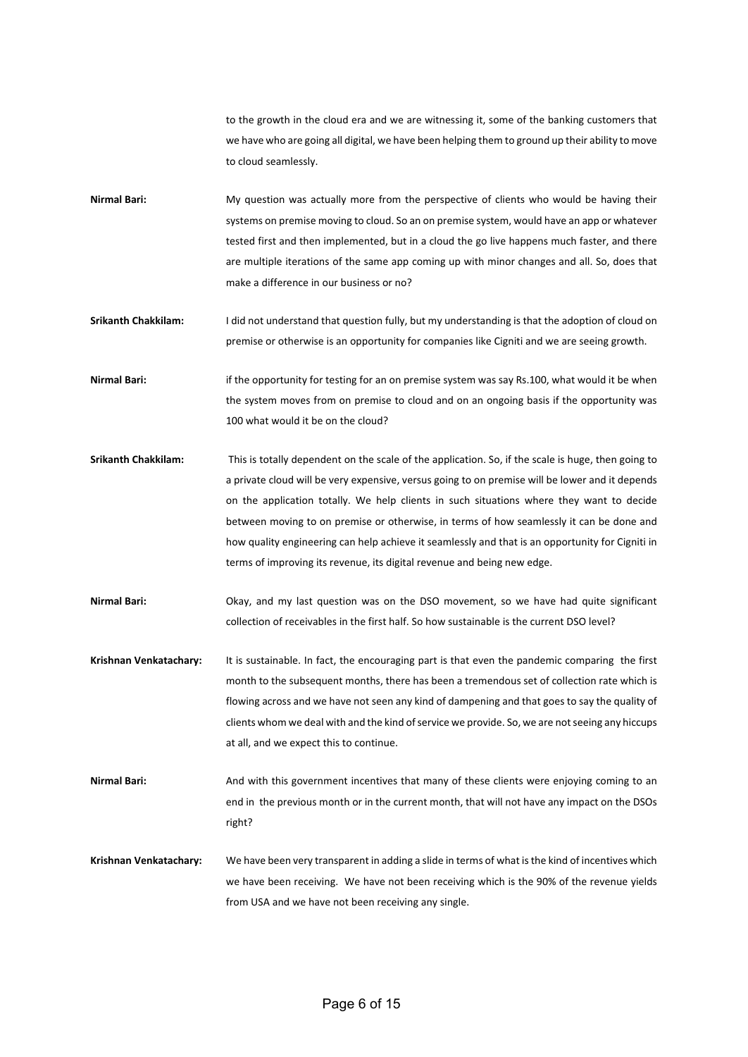to the growth in the cloud era and we are witnessing it, some of the banking customers that we have who are going all digital, we have been helping them to ground up their ability to move to cloud seamlessly.

- Nirmal Bari: My question was actually more from the perspective of clients who would be having their systems on premise moving to cloud. So an on premise system, would have an app or whatever tested first and then implemented, but in a cloud the go live happens much faster, and there are multiple iterations of the same app coming up with minor changes and all. So, does that make a difference in our business or no?
- **Srikanth Chakkilam:** I did not understand that question fully, but my understanding is that the adoption of cloud on premise or otherwise is an opportunity for companies like Cigniti and we are seeing growth.

**Nirmal Bari:** if the opportunity for testing for an on premise system was say Rs.100, what would it be when the system moves from on premise to cloud and on an ongoing basis if the opportunity was 100 what would it be on the cloud?

- **Srikanth Chakkilam:** This is totally dependent on the scale of the application. So, if the scale is huge, then going to a private cloud will be very expensive, versus going to on premise will be lower and it depends on the application totally. We help clients in such situations where they want to decide between moving to on premise or otherwise, in terms of how seamlessly it can be done and how quality engineering can help achieve it seamlessly and that is an opportunity for Cigniti in terms of improving its revenue, its digital revenue and being new edge.
- **Nirmal Bari:** Okay, and my last question was on the DSO movement, so we have had quite significant collection of receivables in the first half. So how sustainable is the current DSO level?
- **Krishnan Venkatachary:** It is sustainable. In fact, the encouraging part is that even the pandemic comparing the first month to the subsequent months, there has been a tremendous set of collection rate which is flowing across and we have not seen any kind of dampening and that goes to say the quality of clients whom we deal with and the kind of service we provide. So, we are not seeing any hiccups at all, and we expect this to continue.

Nirmal Bari: And with this government incentives that many of these clients were enjoying coming to an end in the previous month or in the current month, that will not have any impact on the DSOs right?

**Krishnan Venkatachary:** We have been very transparent in adding a slide in terms of what is the kind of incentives which we have been receiving. We have not been receiving which is the 90% of the revenue yields from USA and we have not been receiving any single.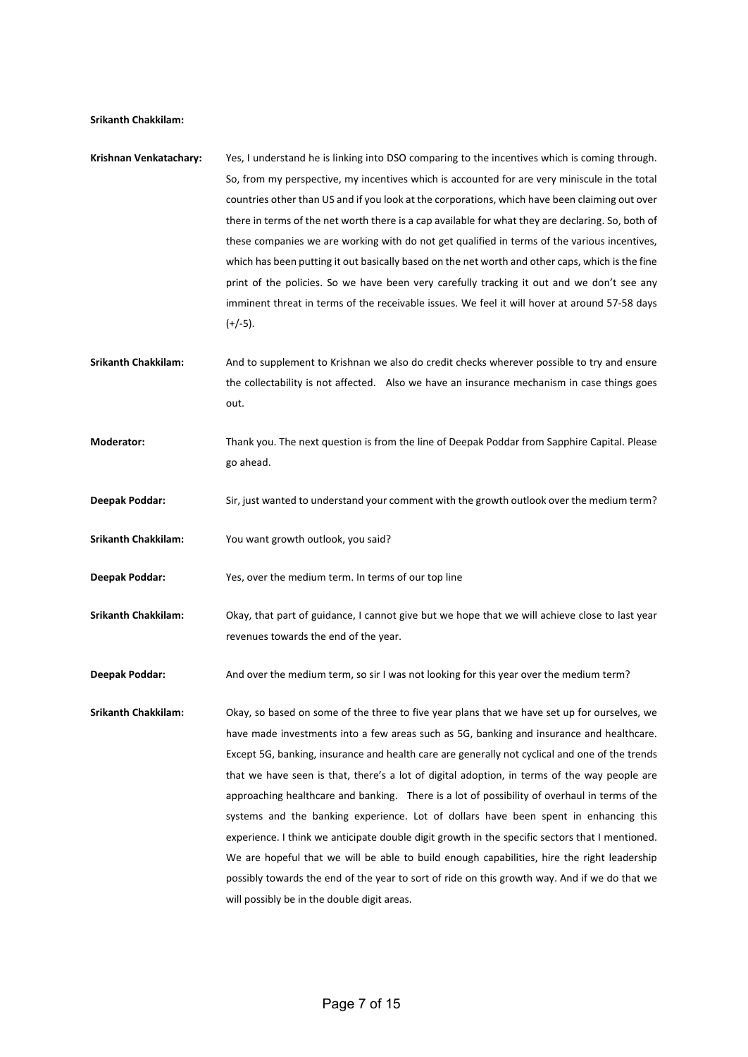## **Srikanth Chakkilam:**

- **Krishnan Venkatachary:** Yes, I understand he is linking into DSO comparing to the incentives which is coming through. So, from my perspective, my incentives which is accounted for are very miniscule in the total countries other than US and if you look at the corporations, which have been claiming out over there in terms of the net worth there is a cap available for what they are declaring. So, both of these companies we are working with do not get qualified in terms of the various incentives, which has been putting it out basically based on the net worth and other caps, which is the fine print of the policies. So we have been very carefully tracking it out and we don't see any imminent threat in terms of the receivable issues. We feel it will hover at around 57-58 days  $(+/-5)$ .
- **Srikanth Chakkilam:** And to supplement to Krishnan we also do credit checks wherever possible to try and ensure the collectability is not affected. Also we have an insurance mechanism in case things goes out.
- **Moderator:** Thank you. The next question is from the line of Deepak Poddar from Sapphire Capital. Please go ahead.
- **Deepak Poddar:** Sir, just wanted to understand your comment with the growth outlook over the medium term?
- **Srikanth Chakkilam:** You want growth outlook, you said?
- **Deepak Poddar:** Yes, over the medium term. In terms of our top line
- **Srikanth Chakkilam:** Okay, that part of guidance, I cannot give but we hope that we will achieve close to last year revenues towards the end of the year.

**Deepak Poddar:** And over the medium term, so sir I was not looking for this year over the medium term?

**Srikanth Chakkilam:** Okay, so based on some of the three to five year plans that we have set up for ourselves, we have made investments into a few areas such as 5G, banking and insurance and healthcare. Except 5G, banking, insurance and health care are generally not cyclical and one of the trends that we have seen is that, there's a lot of digital adoption, in terms of the way people are approaching healthcare and banking. There is a lot of possibility of overhaul in terms of the systems and the banking experience. Lot of dollars have been spent in enhancing this experience. I think we anticipate double digit growth in the specific sectors that I mentioned. We are hopeful that we will be able to build enough capabilities, hire the right leadership possibly towards the end of the year to sort of ride on this growth way. And if we do that we will possibly be in the double digit areas.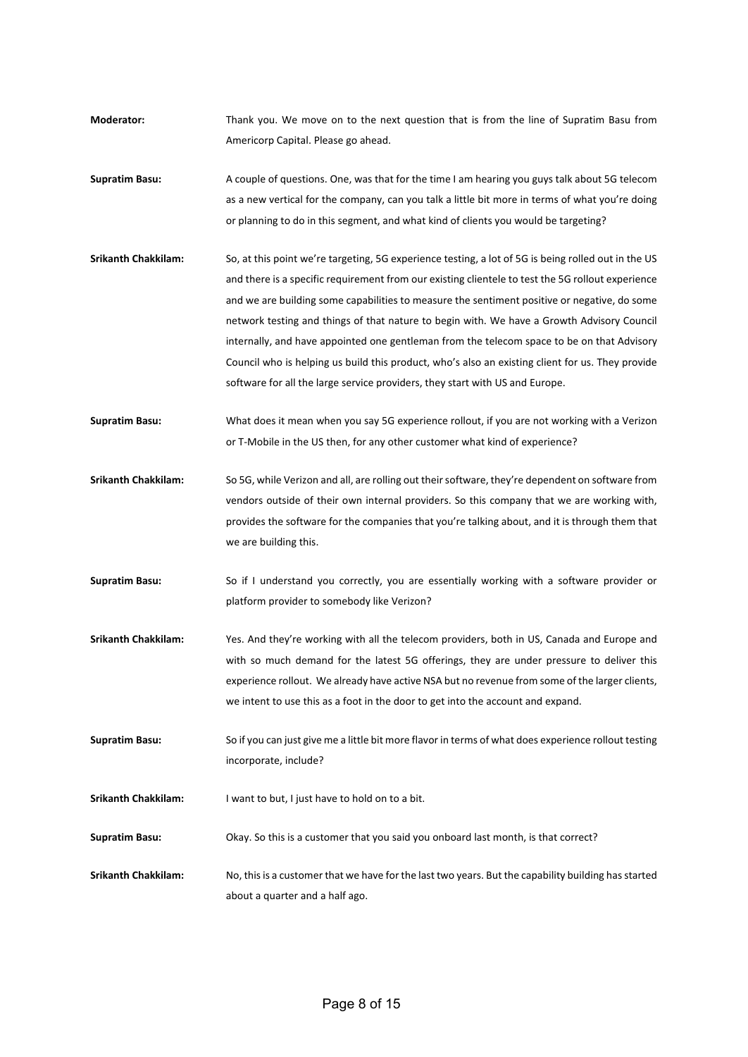- **Moderator:** Thank you. We move on to the next question that is from the line of Supratim Basu from Americorp Capital. Please go ahead.
- **Supratim Basu:** A couple of questions. One, was that for the time I am hearing you guys talk about 5G telecom as a new vertical for the company, can you talk a little bit more in terms of what you're doing or planning to do in this segment, and what kind of clients you would be targeting?
- **Srikanth Chakkilam:** So, at this point we're targeting, 5G experience testing, a lot of 5G is being rolled out in the US and there is a specific requirement from our existing clientele to test the 5G rollout experience and we are building some capabilities to measure the sentiment positive or negative, do some network testing and things of that nature to begin with. We have a Growth Advisory Council internally, and have appointed one gentleman from the telecom space to be on that Advisory Council who is helping us build this product, who's also an existing client for us. They provide software for all the large service providers, they start with US and Europe.
- **Supratim Basu:** What does it mean when you say 5G experience rollout, if you are not working with a Verizon or T-Mobile in the US then, for any other customer what kind of experience?
- **Srikanth Chakkilam:** So 5G, while Verizon and all, are rolling out their software, they're dependent on software from vendors outside of their own internal providers. So this company that we are working with, provides the software for the companies that you're talking about, and it is through them that we are building this.
- **Supratim Basu:** So if I understand you correctly, you are essentially working with a software provider or platform provider to somebody like Verizon?
- **Srikanth Chakkilam:** Yes. And they're working with all the telecom providers, both in US, Canada and Europe and with so much demand for the latest 5G offerings, they are under pressure to deliver this experience rollout. We already have active NSA but no revenue from some of the larger clients, we intent to use this as a foot in the door to get into the account and expand.
- **Supratim Basu:** So if you can just give me a little bit more flavor in terms of what does experience rollout testing incorporate, include?
- **Srikanth Chakkilam:** I want to but, I just have to hold on to a bit.
- **Supratim Basu:** Okay. So this is a customer that you said you onboard last month, is that correct?
- **Srikanth Chakkilam:** No, this is a customer that we have for the last two years. But the capability building has started about a quarter and a half ago.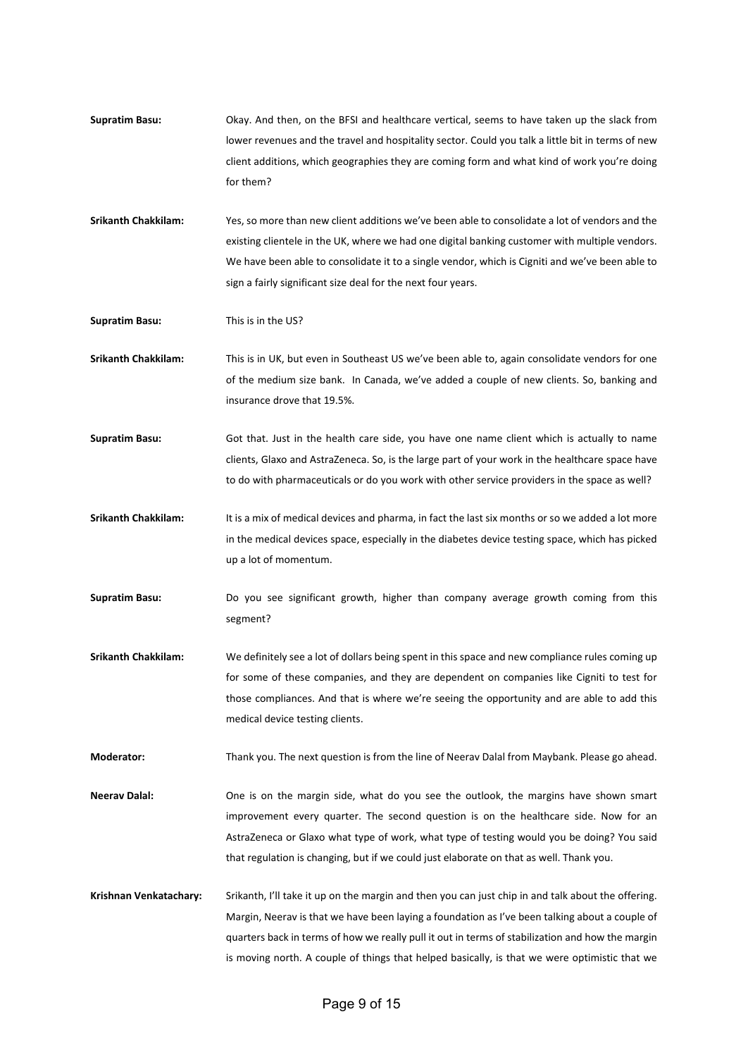- **Supratim Basu:** Okay. And then, on the BFSI and healthcare vertical, seems to have taken up the slack from lower revenues and the travel and hospitality sector. Could you talk a little bit in terms of new client additions, which geographies they are coming form and what kind of work you're doing for them?
- **Srikanth Chakkilam:** Yes, so more than new client additions we've been able to consolidate a lot of vendors and the existing clientele in the UK, where we had one digital banking customer with multiple vendors. We have been able to consolidate it to a single vendor, which is Cigniti and we've been able to sign a fairly significant size deal for the next four years.

**Supratim Basu:** This is in the US?

**Srikanth Chakkilam:** This is in UK, but even in Southeast US we've been able to, again consolidate vendors for one of the medium size bank. In Canada, we've added a couple of new clients. So, banking and insurance drove that 19.5%.

- **Supratim Basu:** Got that. Just in the health care side, you have one name client which is actually to name clients, Glaxo and AstraZeneca. So, is the large part of your work in the healthcare space have to do with pharmaceuticals or do you work with other service providers in the space as well?
- **Srikanth Chakkilam:** It is a mix of medical devices and pharma, in fact the last six months or so we added a lot more in the medical devices space, especially in the diabetes device testing space, which has picked up a lot of momentum.
- **Supratim Basu:** Do you see significant growth, higher than company average growth coming from this segment?
- **Srikanth Chakkilam:** We definitely see a lot of dollars being spent in this space and new compliance rules coming up for some of these companies, and they are dependent on companies like Cigniti to test for those compliances. And that is where we're seeing the opportunity and are able to add this medical device testing clients.

**Moderator:** Thank you. The next question is from the line of Neerav Dalal from Maybank. Please go ahead.

- **Neerav Dalal:** One is on the margin side, what do you see the outlook, the margins have shown smart improvement every quarter. The second question is on the healthcare side. Now for an AstraZeneca or Glaxo what type of work, what type of testing would you be doing? You said that regulation is changing, but if we could just elaborate on that as well. Thank you.
- **Krishnan Venkatachary:** Srikanth, I'll take it up on the margin and then you can just chip in and talk about the offering. Margin, Neerav is that we have been laying a foundation as I've been talking about a couple of quarters back in terms of how we really pull it out in terms of stabilization and how the margin is moving north. A couple of things that helped basically, is that we were optimistic that we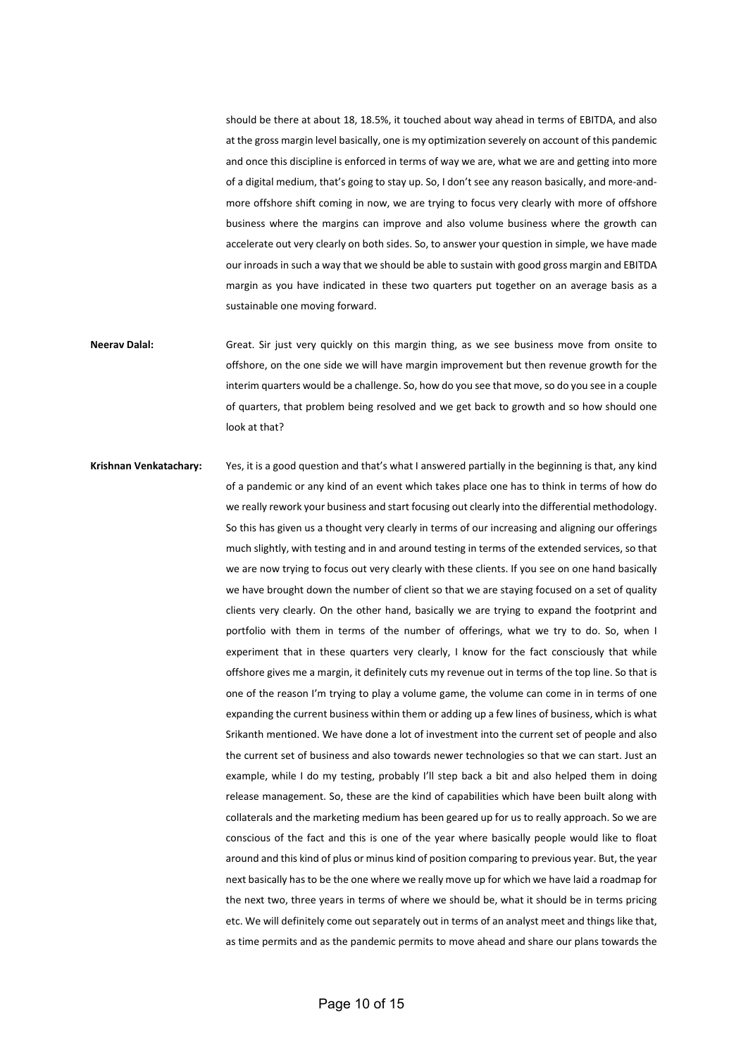should be there at about 18, 18.5%, it touched about way ahead in terms of EBITDA, and also at the gross margin level basically, one is my optimization severely on account of this pandemic and once this discipline is enforced in terms of way we are, what we are and getting into more of a digital medium, that's going to stay up. So, I don't see any reason basically, and more-andmore offshore shift coming in now, we are trying to focus very clearly with more of offshore business where the margins can improve and also volume business where the growth can accelerate out very clearly on both sides. So, to answer your question in simple, we have made our inroads in such a way that we should be able to sustain with good gross margin and EBITDA margin as you have indicated in these two quarters put together on an average basis as a sustainable one moving forward.

- Neerav Dalal: Great. Sir just very quickly on this margin thing, as we see business move from onsite to offshore, on the one side we will have margin improvement but then revenue growth for the interim quarters would be a challenge. So, how do you see that move, so do you see in a couple of quarters, that problem being resolved and we get back to growth and so how should one look at that?
- **Krishnan Venkatachary:** Yes, it is a good question and that's what I answered partially in the beginning is that, any kind of a pandemic or any kind of an event which takes place one has to think in terms of how do we really rework your business and start focusing out clearly into the differential methodology. So this has given us a thought very clearly in terms of our increasing and aligning our offerings much slightly, with testing and in and around testing in terms of the extended services, so that we are now trying to focus out very clearly with these clients. If you see on one hand basically we have brought down the number of client so that we are staying focused on a set of quality clients very clearly. On the other hand, basically we are trying to expand the footprint and portfolio with them in terms of the number of offerings, what we try to do. So, when I experiment that in these quarters very clearly, I know for the fact consciously that while offshore gives me a margin, it definitely cuts my revenue out in terms of the top line. So that is one of the reason I'm trying to play a volume game, the volume can come in in terms of one expanding the current business within them or adding up a few lines of business, which is what Srikanth mentioned. We have done a lot of investment into the current set of people and also the current set of business and also towards newer technologies so that we can start. Just an example, while I do my testing, probably I'll step back a bit and also helped them in doing release management. So, these are the kind of capabilities which have been built along with collaterals and the marketing medium has been geared up for us to really approach. So we are conscious of the fact and this is one of the year where basically people would like to float around and this kind of plus or minus kind of position comparing to previous year. But, the year next basically has to be the one where we really move up for which we have laid a roadmap for the next two, three years in terms of where we should be, what it should be in terms pricing etc. We will definitely come out separately out in terms of an analyst meet and things like that, as time permits and as the pandemic permits to move ahead and share our plans towards the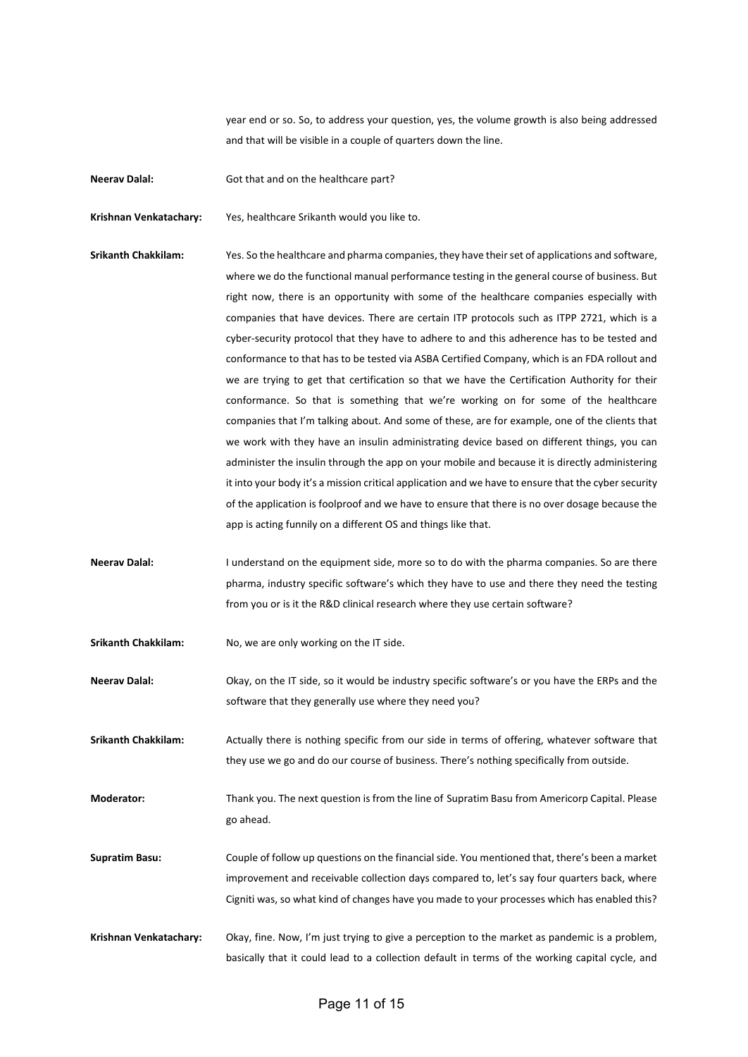year end or so. So, to address your question, yes, the volume growth is also being addressed and that will be visible in a couple of quarters down the line.

**Neerav Dalal:** Got that and on the healthcare part?

**Krishnan Venkatachary:** Yes, healthcare Srikanth would you like to.

- **Srikanth Chakkilam:** Yes. So the healthcare and pharma companies, they have their set of applications and software, where we do the functional manual performance testing in the general course of business. But right now, there is an opportunity with some of the healthcare companies especially with companies that have devices. There are certain ITP protocols such as ITPP 2721, which is a cyber-security protocol that they have to adhere to and this adherence has to be tested and conformance to that has to be tested via ASBA Certified Company, which is an FDA rollout and we are trying to get that certification so that we have the Certification Authority for their conformance. So that is something that we're working on for some of the healthcare companies that I'm talking about. And some of these, are for example, one of the clients that we work with they have an insulin administrating device based on different things, you can administer the insulin through the app on your mobile and because it is directly administering it into your body it's a mission critical application and we have to ensure that the cyber security of the application is foolproof and we have to ensure that there is no over dosage because the app is acting funnily on a different OS and things like that.
- Neerav Dalal: I understand on the equipment side, more so to do with the pharma companies. So are there pharma, industry specific software's which they have to use and there they need the testing from you or is it the R&D clinical research where they use certain software?
- **Srikanth Chakkilam:** No, we are only working on the IT side.

**Neerav Dalal:** Okay, on the IT side, so it would be industry specific software's or you have the ERPs and the software that they generally use where they need you?

**Srikanth Chakkilam:** Actually there is nothing specific from our side in terms of offering, whatever software that they use we go and do our course of business. There's nothing specifically from outside.

**Moderator:** Thank you. The next question is from the line of Supratim Basu from Americorp Capital. Please go ahead.

**Supratim Basu:** Couple of follow up questions on the financial side. You mentioned that, there's been a market improvement and receivable collection days compared to, let's say four quarters back, where Cigniti was, so what kind of changes have you made to your processes which has enabled this?

**Krishnan Venkatachary:** Okay, fine. Now, I'm just trying to give a perception to the market as pandemic is a problem, basically that it could lead to a collection default in terms of the working capital cycle, and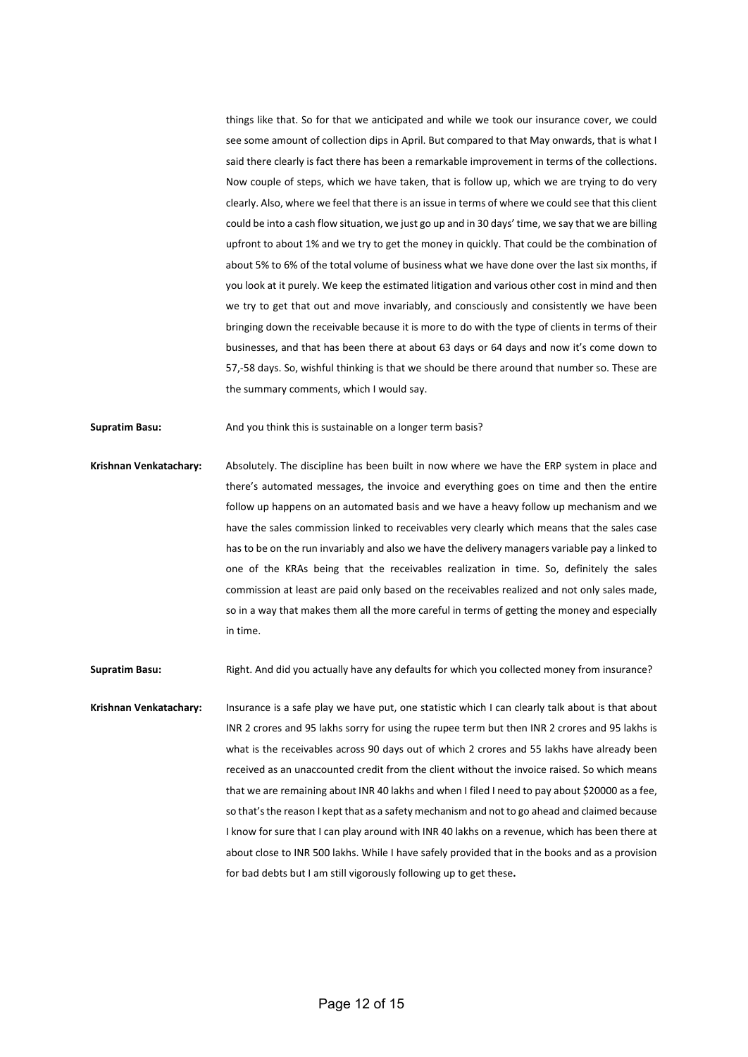things like that. So for that we anticipated and while we took our insurance cover, we could see some amount of collection dips in April. But compared to that May onwards, that is what I said there clearly is fact there has been a remarkable improvement in terms of the collections. Now couple of steps, which we have taken, that is follow up, which we are trying to do very clearly. Also, where we feel that there is an issue in terms of where we could see that this client could be into a cash flow situation, we just go up and in 30 days' time, we say that we are billing upfront to about 1% and we try to get the money in quickly. That could be the combination of about 5% to 6% of the total volume of business what we have done over the last six months, if you look at it purely. We keep the estimated litigation and various other cost in mind and then we try to get that out and move invariably, and consciously and consistently we have been bringing down the receivable because it is more to do with the type of clients in terms of their businesses, and that has been there at about 63 days or 64 days and now it's come down to 57,-58 days. So, wishful thinking is that we should be there around that number so. These are the summary comments, which I would say.

**Supratim Basu:** And you think this is sustainable on a longer term basis?

**Krishnan Venkatachary:** Absolutely. The discipline has been built in now where we have the ERP system in place and there's automated messages, the invoice and everything goes on time and then the entire follow up happens on an automated basis and we have a heavy follow up mechanism and we have the sales commission linked to receivables very clearly which means that the sales case has to be on the run invariably and also we have the delivery managers variable pay a linked to one of the KRAs being that the receivables realization in time. So, definitely the sales commission at least are paid only based on the receivables realized and not only sales made, so in a way that makes them all the more careful in terms of getting the money and especially in time.

**Supratim Basu:** Right. And did you actually have any defaults for which you collected money from insurance?

**Krishnan Venkatachary:** Insurance is a safe play we have put, one statistic which I can clearly talk about is that about INR 2 crores and 95 lakhs sorry for using the rupee term but then INR 2 crores and 95 lakhs is what is the receivables across 90 days out of which 2 crores and 55 lakhs have already been received as an unaccounted credit from the client without the invoice raised. So which means that we are remaining about INR 40 lakhs and when I filed I need to pay about \$20000 as a fee, so that's the reason I kept that as a safety mechanism and not to go ahead and claimed because I know for sure that I can play around with INR 40 lakhs on a revenue, which has been there at about close to INR 500 lakhs. While I have safely provided that in the books and as a provision for bad debts but I am still vigorously following up to get these**.**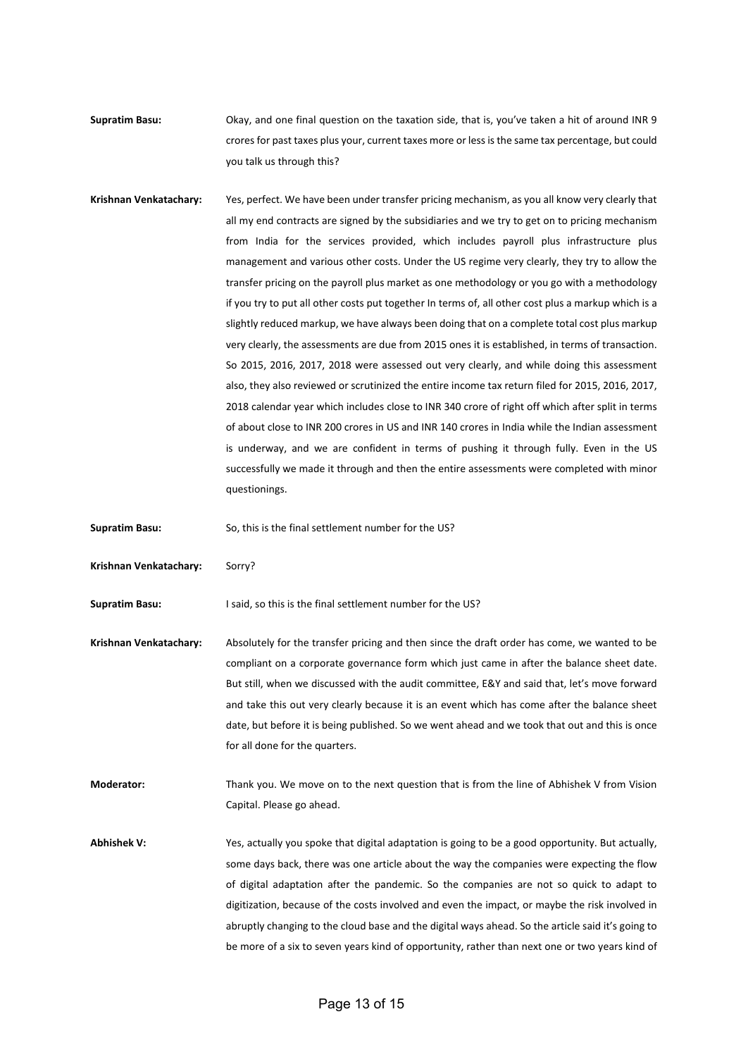**Supratim Basu:** Okay, and one final question on the taxation side, that is, you've taken a hit of around INR 9 crores for past taxes plus your, current taxes more or lessisthe same tax percentage, but could you talk us through this?

**Krishnan Venkatachary:** Yes, perfect. We have been under transfer pricing mechanism, as you all know very clearly that all my end contracts are signed by the subsidiaries and we try to get on to pricing mechanism from India for the services provided, which includes payroll plus infrastructure plus management and various other costs. Under the US regime very clearly, they try to allow the transfer pricing on the payroll plus market as one methodology or you go with a methodology if you try to put all other costs put together In terms of, all other cost plus a markup which is a slightly reduced markup, we have always been doing that on a complete total cost plus markup very clearly, the assessments are due from 2015 ones it is established, in terms of transaction. So 2015, 2016, 2017, 2018 were assessed out very clearly, and while doing this assessment also, they also reviewed or scrutinized the entire income tax return filed for 2015, 2016, 2017, 2018 calendar year which includes close to INR 340 crore of right off which after split in terms of about close to INR 200 crores in US and INR 140 crores in India while the Indian assessment is underway, and we are confident in terms of pushing it through fully. Even in the US successfully we made it through and then the entire assessments were completed with minor questionings.

**Supratim Basu:** So, this is the final settlement number for the US?

**Krishnan Venkatachary:** Sorry?

**Supratim Basu:** I said, so this is the final settlement number for the US?

**Krishnan Venkatachary:** Absolutely for the transfer pricing and then since the draft order has come, we wanted to be compliant on a corporate governance form which just came in after the balance sheet date. But still, when we discussed with the audit committee, E&Y and said that, let's move forward and take this out very clearly because it is an event which has come after the balance sheet date, but before it is being published. So we went ahead and we took that out and this is once for all done for the quarters.

**Moderator:** Thank you. We move on to the next question that is from the line of Abhishek V from Vision Capital. Please go ahead.

Abhishek V: Yes, actually you spoke that digital adaptation is going to be a good opportunity. But actually, some days back, there was one article about the way the companies were expecting the flow of digital adaptation after the pandemic. So the companies are not so quick to adapt to digitization, because of the costs involved and even the impact, or maybe the risk involved in abruptly changing to the cloud base and the digital ways ahead. So the article said it's going to be more of a six to seven years kind of opportunity, rather than next one or two years kind of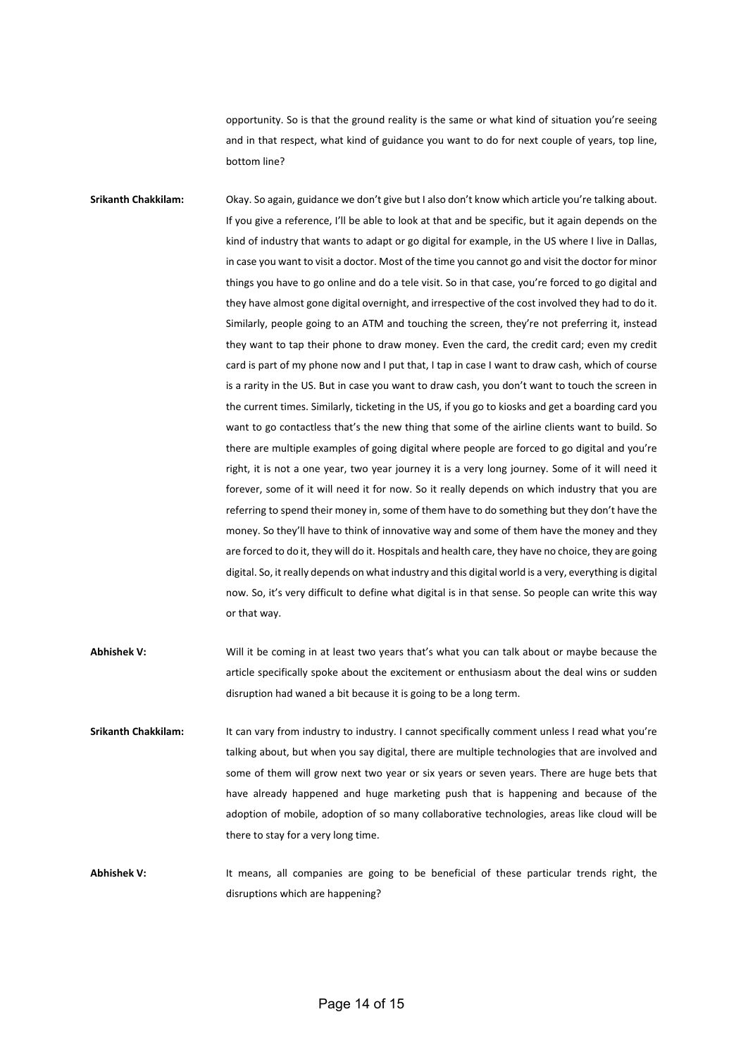opportunity. So is that the ground reality is the same or what kind of situation you're seeing and in that respect, what kind of guidance you want to do for next couple of years, top line, bottom line?

**Srikanth Chakkilam:** Okay. So again, guidance we don't give but I also don't know which article you're talking about. If you give a reference, I'll be able to look at that and be specific, but it again depends on the kind of industry that wants to adapt or go digital for example, in the US where I live in Dallas, in case you want to visit a doctor. Most of the time you cannot go and visit the doctor for minor things you have to go online and do a tele visit. So in that case, you're forced to go digital and they have almost gone digital overnight, and irrespective of the cost involved they had to do it. Similarly, people going to an ATM and touching the screen, they're not preferring it, instead they want to tap their phone to draw money. Even the card, the credit card; even my credit card is part of my phone now and I put that, I tap in case I want to draw cash, which of course is a rarity in the US. But in case you want to draw cash, you don't want to touch the screen in the current times. Similarly, ticketing in the US, if you go to kiosks and get a boarding card you want to go contactless that's the new thing that some of the airline clients want to build. So there are multiple examples of going digital where people are forced to go digital and you're right, it is not a one year, two year journey it is a very long journey. Some of it will need it forever, some of it will need it for now. So it really depends on which industry that you are referring to spend their money in, some of them have to do something but they don't have the money. So they'll have to think of innovative way and some of them have the money and they are forced to do it, they will do it. Hospitals and health care, they have no choice, they are going digital. So, it really depends on what industry and this digital world is a very, everything is digital now. So, it's very difficult to define what digital is in that sense. So people can write this way or that way.

- **Abhishek V:** Will it be coming in at least two years that's what you can talk about or maybe because the article specifically spoke about the excitement or enthusiasm about the deal wins or sudden disruption had waned a bit because it is going to be a long term.
- Srikanth Chakkilam: It can vary from industry to industry. I cannot specifically comment unless I read what you're talking about, but when you say digital, there are multiple technologies that are involved and some of them will grow next two year or six years or seven years. There are huge bets that have already happened and huge marketing push that is happening and because of the adoption of mobile, adoption of so many collaborative technologies, areas like cloud will be there to stay for a very long time.

Abhishek V: It means, all companies are going to be beneficial of these particular trends right, the disruptions which are happening?